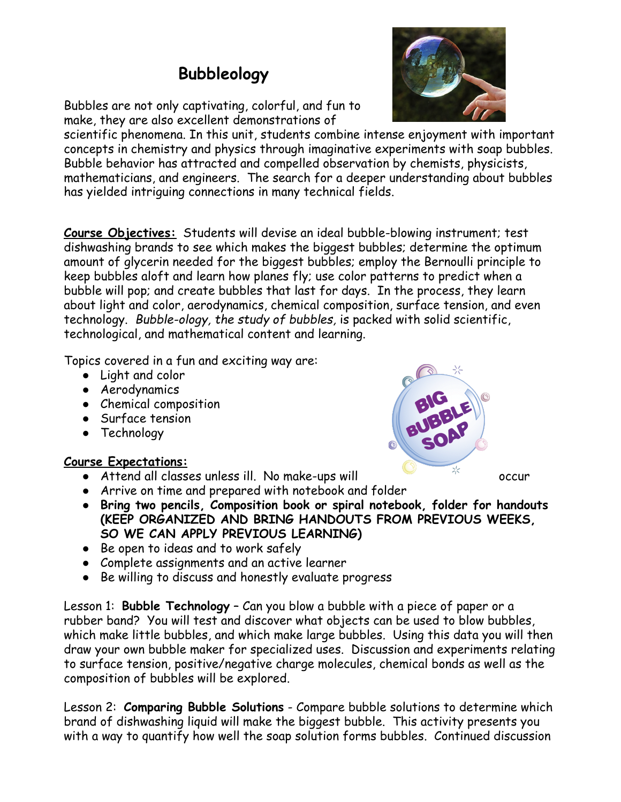## **Bubbleology**

Bubbles are not only captivating, colorful, and fun to make, they are also excellent demonstrations of

scientific phenomena. In this unit, students combine intense enjoyment with important concepts in chemistry and physics through imaginative experiments with soap bubbles. Bubble behavior has attracted and compelled observation by chemists, physicists, mathematicians, and engineers. The search for a deeper understanding about bubbles has yielded intriguing connections in many technical fields.

**Course Objectives:** Students will devise an ideal bubble-blowing instrument; test dishwashing brands to see which makes the biggest bubbles; determine the optimum amount of glycerin needed for the biggest bubbles; employ the Bernoulli principle to keep bubbles aloft and learn how planes fly; use color patterns to predict when a bubble will pop; and create bubbles that last for days. In the process, they learn about light and color, aerodynamics, chemical composition, surface tension, and even technology. *Bubble-ology, the study of bubbles,* is packed with solid scientific, technological, and mathematical content and learning.

Topics covered in a fun and exciting way are:

- Light and color
- **•** Aerodynamics
- Chemical composition
- Surface tension
- Technology

## **Course Expectations:**

- $\bullet$  Attend all classes unless ill. No make-ups will  $\overrightarrow{a}$  occur
- Arrive on time and prepared with notebook and folder
	-
- **● Bring two pencils, Composition book or spiral notebook, folder for handouts (KEEP ORGANIZED AND BRING HANDOUTS FROM PREVIOUS WEEKS, SO WE CAN APPLY PREVIOUS LEARNING)**
- Be open to ideas and to work safely
- Complete assignments and an active learner
- Be willing to discuss and honestly evaluate progress

Lesson 1: **Bubble Technology** – Can you blow a bubble with a piece of paper or a rubber band? You will test and discover what objects can be used to blow bubbles, which make little bubbles, and which make large bubbles. Using this data you will then draw your own bubble maker for specialized uses. Discussion and experiments relating to surface tension, positive/negative charge molecules, chemical bonds as well as the composition of bubbles will be explored.

Lesson 2: **Comparing Bubble Solutions** - Compare bubble solutions to determine which brand of dishwashing liquid will make the biggest bubble. This activity presents you with a way to quantify how well the soap solution forms bubbles. Continued discussion